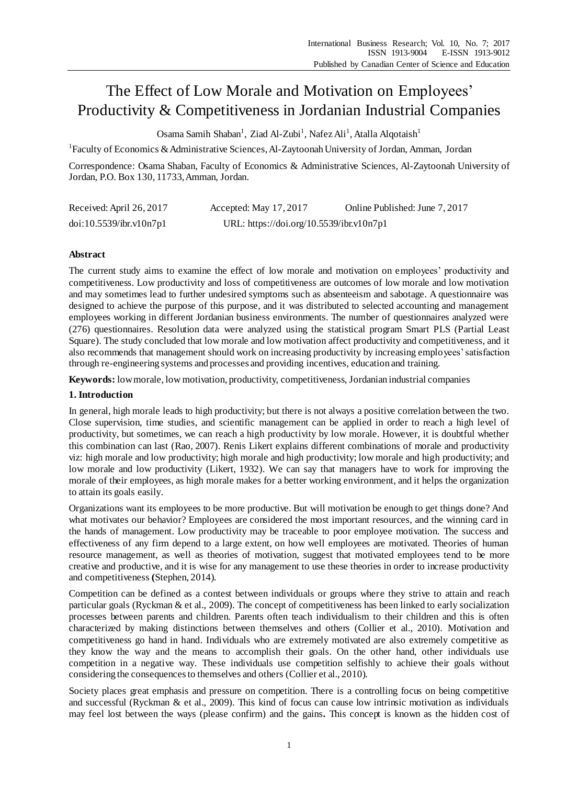# The Effect of Low Morale and Motivation on Employees' Productivity & Competitiveness in Jordanian Industrial Companies

Osama Samih Shaban<sup>1</sup>, Ziad Al-Zubi<sup>1</sup>, Nafez Ali<sup>1</sup>, Atalla Alqotaish<sup>1</sup>

<sup>1</sup> Faculty of Economics & Administrative Sciences, Al-Zaytoonah University of Jordan, Amman, Jordan

Correspondence: Osama Shaban, Faculty of Economics & Administrative Sciences, Al-Zaytoonah University of Jordan, P.O. Box 130, 11733, Amman, Jordan.

| Received: April 26, 2017 | Accepted: May 17, 2017                   | Online Published: June 7, 2017 |
|--------------------------|------------------------------------------|--------------------------------|
| doi:10.5539/ibr.v10n7p1  | URL: https://doi.org/10.5539/ibr.v10n7p1 |                                |

# **Abstract**

The current study aims to examine the effect of low morale and motivation on employees' productivity and competitiveness. Low productivity and loss of competitiveness are outcomes of low morale and low motivation and may sometimes lead to further undesired symptoms such as absenteeism and sabotage. A questionnaire was designed to achieve the purpose of this purpose, and it was distributed to selected accounting and management employees working in different Jordanian business environments. The number of questionnaires analyzed were (276) questionnaires. Resolution data were analyzed using the statistical program Smart PLS (Partial Least Square). The study concluded that low morale and low motivation affect productivity and competitiveness, and it also recommends that management should work on increasing productivity by increasing employees' satisfaction through re-engineering systems and processes and providing incentives, education and training.

**Keywords:** low morale, low motivation, productivity, competitiveness, Jordanian industrial companies

## **1. Introduction**

In general, high morale leads to high productivity; but there is not always a positive correlation between the two. Close supervision, time studies, and scientific management can be applied in order to reach a high level of productivity, but sometimes, we can reach a high productivity by low morale. However, it is doubtful whether this combination can last (Rao, 2007). Renis Likert explains different combinations of morale and productivity viz: high morale and low productivity; high morale and high productivity; low morale and high productivity; and low morale and low productivity (Likert, 1932). We can say that managers have to work for improving the morale of their employees, as high morale makes for a better working environment, and it helps the organization to attain its goals easily.

Organizations want its employees to be more productive. But will motivation be enough to get things done? And what motivates our behavior? Employees are considered the most important resources, and the winning card in the hands of management. Low productivity may be traceable to poor employee motivation. The success and effectiveness of any firm depend to a large extent, on how well employees are motivated. Theories of human resource management, as well as theories of motivation, suggest that motivated employees tend to be more creative and productive, and it is wise for any management to use these theories in order to increase productivity and competitiveness **(**Stephen, 2014).

Competition can be defined as a contest between individuals or groups where they strive to attain and reach particular goals (Ryckman & et al., 2009). The concept of competitiveness has been linked to early socialization processes between parents and children. Parents often teach individualism to their children and this is often characterized by making distinctions between themselves and others (Collier et al., 2010). Motivation and competitiveness go hand in hand. Individuals who are extremely motivated are also extremely competitive as they know the way and the means to accomplish their goals. On the other hand, other individuals use competition in a negative way. These individuals use competition selfishly to achieve their goals without considering the consequences to themselves and others (Collier et al., 2010).

Society places great emphasis and pressure on competition. There is a controlling focus on being competitive and successful (Ryckman & et al., 2009). This kind of focus can cause low intrinsic motivation as individuals may feel lost between the ways (please confirm) and the gains**.** This concept is known as the hidden cost of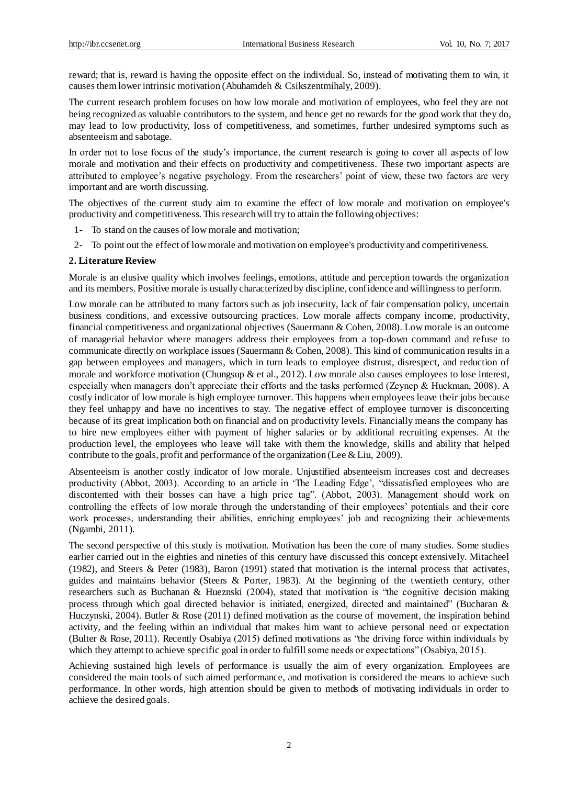reward; that is, reward is having the opposite effect on the individual. So, instead of motivating them to win, it causes them lower intrinsic motivation (Abuhamdeh & Csikszentmihaly, 2009).

The current research problem focuses on how low morale and motivation of employees, who feel they are not being recognized as valuable contributors to the system, and hence get no rewards for the good work that they do, may lead to low productivity, loss of competitiveness, and sometimes, further undesired symptoms such as absenteeism and sabotage.

In order not to lose focus of the study's importance, the current research is going to cover all aspects of low morale and motivation and their effects on productivity and competitiveness. These two important aspects are attributed to employee's negative psychology. From the researchers' point of view, these two factors are very important and are worth discussing.

The objectives of the current study aim to examine the effect of low morale and motivation on employee's productivity and competitiveness. This research will try to attain the following objectives:

- 1- To stand on the causes of low morale and motivation;
- 2- To point out the effect of low morale and motivation on employee's productivity and competitiveness.

#### **2. Literature Review**

Morale is an elusive quality which involves feelings, emotions, attitude and perception towards the organization and its members. Positive morale is usually characterized by discipline, confidence and willingness to perform.

Low morale can be attributed to many factors such as job insecurity, lack of fair compensation policy, uncertain business conditions, and excessive outsourcing practices. Low morale affects company income, productivity, financial competitiveness and organizational objectives (Sauermann & Cohen, 2008). Low morale is an outcome of managerial behavior where managers address their employees from a top-down command and refuse to communicate directly on workplace issues (Sauermann & Cohen, 2008). This kind of communication results in a gap between employees and managers, which in turn leads to employee distrust, disrespect, and reduction of morale and workforce motivation (Chungsup & et al., 2012). Low morale also causes employees to lose interest, especially when managers don't appreciate their efforts and the tasks performed (Zeynep & Huckman, 2008). A costly indicator of low morale is high employee turnover. This happens when employees leave their jobs because they feel unhappy and have no incentives to stay. The negative effect of employee turnover is disconcerting because of its great implication both on financial and on productivity levels. Financially means the company has to hire new employees either with payment of higher salaries or by additional recruiting expenses. At the production level, the employees who leave will take with them the knowledge, skills and ability that helped contribute to the goals, profit and performance of the organization (Lee & Liu, 2009).

Absenteeism is another costly indicator of low morale. Unjustified absenteeism increases cost and decreases productivity (Abbot, 2003). According to an article in 'The Leading Edge', "dissatisfied employees who are discontented with their bosses can have a high price tag". (Abbot, 2003). Management should work on controlling the effects of low morale through the understanding of their employees' potentials and their core work processes, understanding their abilities, enriching employees' job and recognizing their achievements (Ngambi, 2011).

The second perspective of this study is motivation. Motivation has been the core of many studies. Some studies earlier carried out in the eighties and nineties of this century have discussed this concept extensively. Mitacheel (1982), and Steers & Peter (1983), Baron (1991) stated that motivation is the internal process that activates, guides and maintains behavior (Steers & Porter, 1983). At the beginning of the twentieth century, other researchers such as Buchanan & Hueznski (2004), stated that motivation is "the cognitive decision making process through which goal directed behavior is initiated, energized, directed and maintained" (Bucharan & Huczynski, 2004). Butler & Rose (2011) defined motivation as the course of movement, the inspiration behind activity, and the feeling within an individual that makes him want to achieve personal need or expectation (Bulter & Rose, 2011). Recently Osabiya (2015) defined motivations as "the driving force within individuals by which they attempt to achieve specific goal in order to fulfill some needs or expectations" (Osabiya, 2015).

Achieving sustained high levels of performance is usually the aim of every organization. Employees are considered the main tools of such aimed performance, and motivation is considered the means to achieve such performance. In other words, high attention should be given to methods of motivating individuals in order to achieve the desired goals.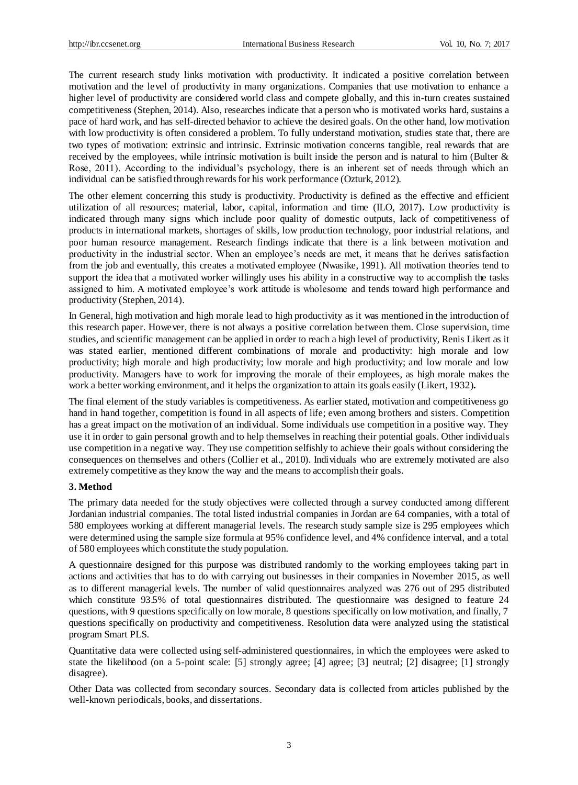The current research study links motivation with productivity. It indicated a positive correlation between motivation and the level of productivity in many organizations. Companies that use motivation to enhance a higher level of productivity are considered world class and compete globally, and this in-turn creates sustained competitiveness (Stephen, 2014). Also, researches indicate that a person who is motivated works hard, sustains a pace of hard work, and has self-directed behavior to achieve the desired goals. On the other hand, low motivation with low productivity is often considered a problem. To fully understand motivation, studies state that, there are two types of motivation: extrinsic and intrinsic. Extrinsic motivation concerns tangible, real rewards that are received by the employees, while intrinsic motivation is built inside the person and is natural to him (Bulter & Rose, 2011). According to the individual's psychology, there is an inherent set of needs through which an individual can be satisfied through rewards for his work performance (Ozturk, 2012).

The other element concerning this study is productivity. Productivity is defined as the effective and efficient utilization of all resources; material, labor, capital, information and time (ILO, 2017)**.** Low productivity is indicated through many signs which include poor quality of domestic outputs, lack of competitiveness of products in international markets, shortages of skills, low production technology, poor industrial relations, and poor human resource management. Research findings indicate that there is a link between motivation and productivity in the industrial sector. When an employee's needs are met, it means that he derives satisfaction from the job and eventually, this creates a motivated employee (Nwasike, 1991). All motivation theories tend to support the idea that a motivated worker willingly uses his ability in a constructive way to accomplish the tasks assigned to him. A motivated employee's work attitude is wholesome and tends toward high performance and productivity (Stephen, 2014).

In General, high motivation and high morale lead to high productivity as it was mentioned in the introduction of this research paper. However, there is not always a positive correlation between them. Close supervision, time studies, and scientific management can be applied in order to reach a high level of productivity, Renis Likert as it was stated earlier, mentioned different combinations of morale and productivity: high morale and low productivity; high morale and high productivity; low morale and high productivity; and low morale and low productivity. Managers have to work for improving the morale of their employees, as high morale makes the work a better working environment, and it helps the organization to attain its goals easily (Likert, 1932)**.**

The final element of the study variables is competitiveness. As earlier stated, motivation and competitiveness go hand in hand together, competition is found in all aspects of life; even among brothers and sisters. Competition has a great impact on the motivation of an individual. Some individuals use competition in a positive way. They use it in order to gain personal growth and to help themselves in reaching their potential goals. Other individuals use competition in a negative way. They use competition selfishly to achieve their goals without considering the consequences on themselves and others (Collier et al., 2010). Individuals who are extremely motivated are also extremely competitive as they know the way and the means to accomplish their goals.

## **3. Method**

The primary data needed for the study objectives were collected through a survey conducted among different Jordanian industrial companies. The total listed industrial companies in Jordan are 64 companies, with a total of 580 employees working at different managerial levels. The research study sample size is 295 employees which were determined using the sample size formula at 95% confidence level, and 4% confidence interval, and a total of 580 employees which constitute the study population.

A questionnaire designed for this purpose was distributed randomly to the working employees taking part in actions and activities that has to do with carrying out businesses in their companies in November 2015, as well as to different managerial levels. The number of valid questionnaires analyzed was 276 out of 295 distributed which constitute 93.5% of total questionnaires distributed. The questionnaire was designed to feature 24 questions, with 9 questions specifically on low morale, 8 questions specifically on low motivation, and finally, 7 questions specifically on productivity and competitiveness. Resolution data were analyzed using the statistical program Smart PLS.

Quantitative data were collected using self-administered questionnaires, in which the employees were asked to state the likelihood (on a 5-point scale: [5] strongly agree; [4] agree; [3] neutral; [2] disagree; [1] strongly disagree).

Other Data was collected from secondary sources. Secondary data is collected from articles published by the well-known periodicals, books, and dissertations.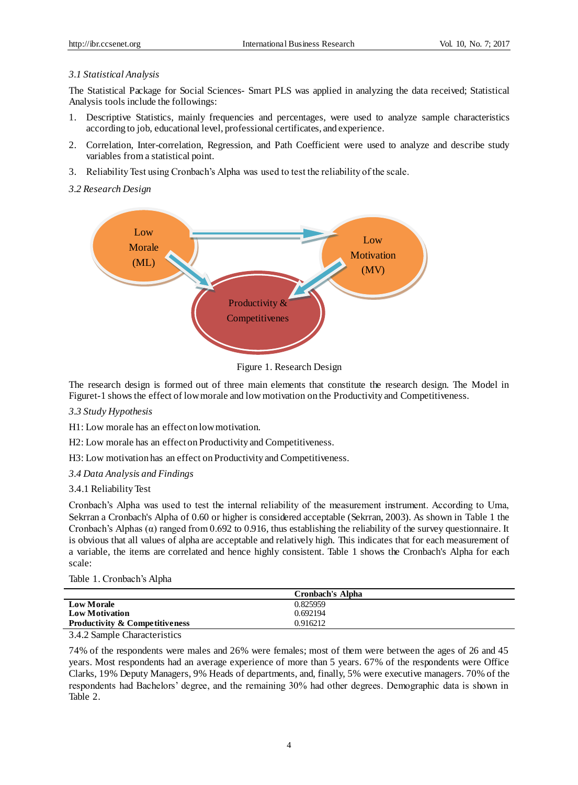# *3.1 Statistical Analysis*

The Statistical Package for Social Sciences- Smart PLS was applied in analyzing the data received; Statistical Analysis tools include the followings:

- 1. Descriptive Statistics, mainly frequencies and percentages, were used to analyze sample characteristics according to job, educational level, professional certificates, and experience.
- 2. Correlation, Inter-correlation, Regression, and Path Coefficient were used to analyze and describe study variables from a statistical point.
- 3. Reliability Test using Cronbach's Alpha was used to test the reliability of the scale.

# *3.2 Research Design*



Figure 1. Research Design

The research design is formed out of three main elements that constitute the research design. The Model in Figuret-1 shows the effect of low morale and low motivation on the Productivity and Competitiveness.

## *3.3 Study Hypothesis*

H1: Low morale has an effect on low motivation.

H2: Low morale has an effect on Productivity and Competitiveness.

H3: Low motivation has an effect on Productivity and Competitiveness.

## *3.4 Data Analysis and Findings*

## 3.4.1 Reliability Test

Cronbach's Alpha was used to test the internal reliability of the measurement instrument. According to Uma, Sekrran a Cronbach's Alpha of 0.60 or higher is considered acceptable (Sekrran, 2003). As shown in Table 1 the Cronbach's Alphas  $(\alpha)$  ranged from 0.692 to 0.916, thus establishing the reliability of the survey questionnaire. It is obvious that all values of alpha are acceptable and relatively high. This indicates that for each measurement of a variable, the items are correlated and hence highly consistent. Table 1 shows the Cronbach's Alpha for each scale:

Table 1. Cronbach's Alpha

|                                           | <b>Cronbach's Alpha</b> |  |
|-------------------------------------------|-------------------------|--|
| <b>Low Morale</b>                         | 0.825959                |  |
| <b>Low Motivation</b>                     | 0.692194                |  |
| <b>Productivity &amp; Competitiveness</b> | 0.916212                |  |
|                                           |                         |  |

3.4.2 Sample Characteristics

74% of the respondents were males and 26% were females; most of them were between the ages of 26 and 45 years. Most respondents had an average experience of more than 5 years. 67% of the respondents were Office Clarks, 19% Deputy Managers, 9% Heads of departments, and, finally, 5% were executive managers. 70% of the respondents had Bachelors' degree, and the remaining 30% had other degrees. Demographic data is shown in Table 2.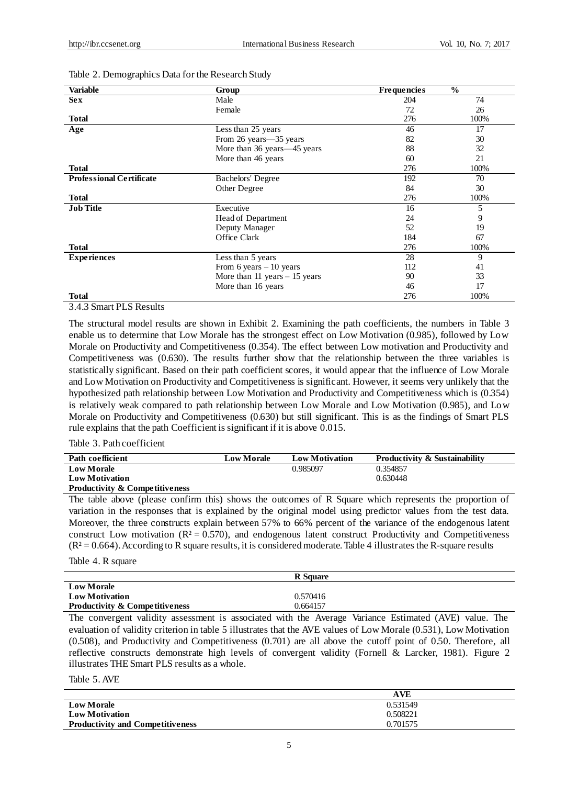| <b>Variable</b>                 | Group                            | <b>Frequencies</b> | $\frac{0}{0}$ |
|---------------------------------|----------------------------------|--------------------|---------------|
| <b>Sex</b>                      | Male                             | 204                | 74            |
|                                 | Female                           | 72                 | 26            |
| Total                           |                                  | 276                | 100%          |
| Age                             | Less than 25 years               | 46                 | 17            |
|                                 | From 26 years -35 years          | 82                 | 30            |
|                                 | More than 36 years—45 years      | 88                 | 32            |
|                                 | More than 46 years               | 60                 | 21            |
| <b>Total</b>                    |                                  | 276                | 100%          |
| <b>Professional Certificate</b> | <b>Bachelors' Degree</b>         | 192                | 70            |
|                                 | Other Degree                     | 84                 | 30            |
| <b>Total</b>                    |                                  | 276                | 100%          |
| <b>Job Title</b>                | Executive                        | 16                 | 5             |
|                                 | Head of Department               | 24                 | 9             |
|                                 | Deputy Manager                   | 52                 | 19            |
|                                 | Office Clark                     | 184                | 67            |
| <b>Total</b>                    |                                  | 276                | 100%          |
| <b>Experiences</b>              | Less than 5 years                | 28                 | 9             |
|                                 | From 6 years $-10$ years         | 112                | 41            |
|                                 | More than $11$ years $-15$ years | 90                 | 33            |
|                                 | More than 16 years               | 46                 | 17            |
| <b>Total</b>                    |                                  | 276                | 100%          |

#### Table 2. Demographics Data for the Research Study

# 3.4.3 Smart PLS Results

The structural model results are shown in Exhibit 2. Examining the path coefficients, the numbers in Table 3 enable us to determine that Low Morale has the strongest effect on Low Motivation (0.985), followed by Low Morale on Productivity and Competitiveness (0.354). The effect between Low motivation and Productivity and Competitiveness was (0.630). The results further show that the relationship between the three variables is statistically significant. Based on their path coefficient scores, it would appear that the influence of Low Morale and Low Motivation on Productivity and Competitiveness is significant. However, it seems very unlikely that the hypothesized path relationship between Low Motivation and Productivity and Competitiveness which is (0.354) is relatively weak compared to path relationship between Low Morale and Low Motivation (0.985), and Low Morale on Productivity and Competitiveness (0.630) but still significant. This is as the findings of Smart PLS rule explains that the path Coefficient is significant if it is above 0.015.

Table 3. Path coefficient

| Path coefficient                          | <b>Low Morale</b> | <b>Low Motivation</b> | <b>Productivity &amp; Sustainability</b> |
|-------------------------------------------|-------------------|-----------------------|------------------------------------------|
| <b>Low Morale</b>                         |                   | 0.985097              | 0.354857                                 |
| <b>Low Motivation</b>                     |                   |                       | 0.630448                                 |
| <b>Productivity &amp; Competitiveness</b> |                   |                       |                                          |

The table above (please confirm this) shows the outcomes of R Square which represents the proportion of variation in the responses that is explained by the original model using predictor values from the test data. Moreover, the three constructs explain between 57% to 66% percent of the variance of the endogenous latent construct Low motivation  $(R<sup>2</sup>=0.570)$ , and endogenous latent construct Productivity and Competitiveness  $(R<sup>2</sup>=0.664)$ . According to R square results, it is considered moderate. Table 4 illustrates the R-square results

Table 4. R square

|                                           | <b>R</b> Square |
|-------------------------------------------|-----------------|
| <b>Low Morale</b>                         |                 |
| <b>Low Motivation</b>                     | 0.570416        |
| <b>Productivity &amp; Competitiveness</b> | 0.664157        |

The convergent validity assessment is associated with the Average Variance Estimated (AVE) value. The evaluation of validity criterion in table 5 illustrates that the AVE values of Low Morale (0.531), Low Motivation (0.508), and Productivity and Competitiveness (0.701) are all above the cutoff point of 0.50. Therefore, all reflective constructs demonstrate high levels of convergent validity (Fornell & Larcker, 1981). Figure 2 illustrates THE Smart PLS results as a whole.

### Table 5. AVE

|                                         | <b>AVE</b> |
|-----------------------------------------|------------|
| <b>Low Morale</b>                       | 0.531549   |
| <b>Low Motivation</b>                   | 0.508221   |
| <b>Productivity and Competitiveness</b> | 0.701575   |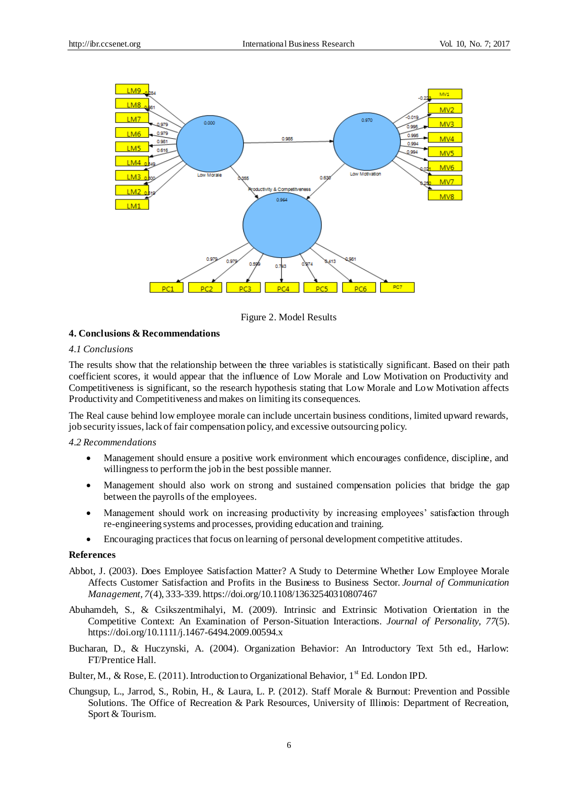

Figure 2. Model Results

#### **4. Conclusions & Recommendations**

#### *4.1 Conclusions*

The results show that the relationship between the three variables is statistically significant. Based on their path coefficient scores, it would appear that the influence of Low Morale and Low Motivation on Productivity and Competitiveness is significant, so the research hypothesis stating that Low Morale and Low Motivation affects Productivity and Competitiveness and makes on limiting its consequences.

The Real cause behind low employee morale can include uncertain business conditions, limited upward rewards, job security issues, lack of fair compensation policy, and excessive outsourcing policy.

#### *4.2 Recommendations*

- Management should ensure a positive work environment which encourages confidence, discipline, and willingness to perform the job in the best possible manner.
- Management should also work on strong and sustained compensation policies that bridge the gap between the payrolls of the employees.
- Management should work on increasing productivity by increasing employees' satisfaction through re-engineering systems and processes, providing education and training.
- Encouraging practices that focus on learning of personal development competitive attitudes.

#### **References**

- Abbot, J. (2003). Does Employee Satisfaction Matter? A Study to Determine Whether Low Employee Morale Affects Customer Satisfaction and Profits in the Business to Business Sector. *Journal of Communication Management, 7*(4), 333-339. https://doi.org/10.1108/13632540310807467
- Abuhamdeh, S., & Csikszentmihalyi, M. (2009). Intrinsic and Extrinsic Motivation Orientation in the Competitive Context: An Examination of Person-Situation Interactions. *Journal of Personality, 77*(5). https://doi.org/10.1111/j.1467-6494.2009.00594.x
- Bucharan, D., & Huczynski, A. (2004). Organization Behavior: An Introductory Text 5th ed., Harlow: FT/Prentice Hall.
- Bulter, M., & Rose, E. (2011). Introduction to Organizational Behavior,  $1^{st}$  Ed. London IPD.
- Chungsup, L., Jarrod, S., Robin, H., & Laura, L. P. (2012). Staff Morale & Burnout: Prevention and Possible Solutions. The Office of Recreation & Park Resources, University of Illinois: Department of Recreation, Sport & Tourism.